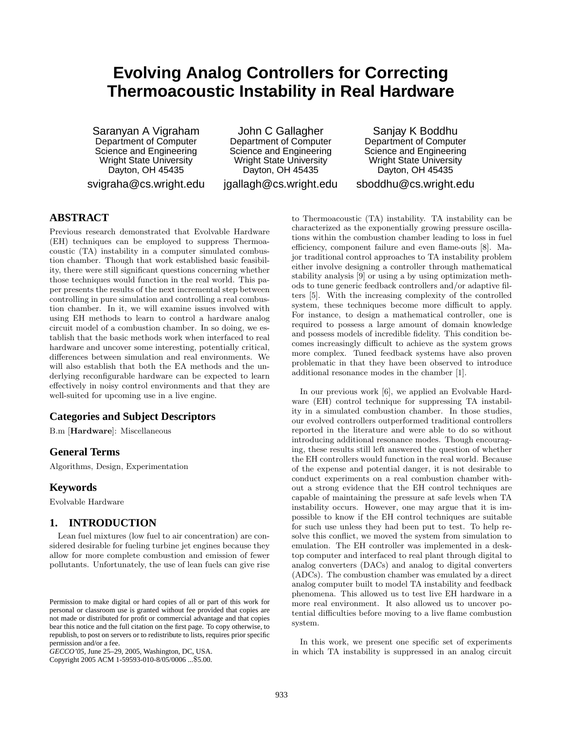# **Evolving Analog Controllers for Correcting Thermoacoustic Instability in Real Hardware**

Saranyan A Vigraham Department of Computer Science and Engineering Wright State University Dayton, OH 45435 svigraha@cs.wright.edu

John C Gallagher Department of Computer Science and Engineering Wright State University Dayton, OH 45435

jgallagh@cs.wright.edu

Sanjay K Boddhu Department of Computer Science and Engineering Wright State University Dayton, OH 45435 sboddhu@cs.wright.edu

# **ABSTRACT**

Previous research demonstrated that Evolvable Hardware (EH) techniques can be employed to suppress Thermoacoustic (TA) instability in a computer simulated combustion chamber. Though that work established basic feasibility, there were still significant questions concerning whether those techniques would function in the real world. This paper presents the results of the next incremental step between controlling in pure simulation and controlling a real combustion chamber. In it, we will examine issues involved with using EH methods to learn to control a hardware analog circuit model of a combustion chamber. In so doing, we establish that the basic methods work when interfaced to real hardware and uncover some interesting, potentially critical, differences between simulation and real environments. We will also establish that both the EA methods and the underlying reconfigurable hardware can be expected to learn effectively in noisy control environments and that they are well-suited for upcoming use in a live engine.

# **Categories and Subject Descriptors**

B.m [Hardware]: Miscellaneous

# **General Terms**

Algorithms, Design, Experimentation

### **Keywords**

Evolvable Hardware

# **1. INTRODUCTION**

Lean fuel mixtures (low fuel to air concentration) are considered desirable for fueling turbine jet engines because they allow for more complete combustion and emission of fewer pollutants. Unfortunately, the use of lean fuels can give rise

Copyright 2005 ACM 1-59593-010-8/05/0006 ...\$5.00.

to Thermoacoustic (TA) instability. TA instability can be characterized as the exponentially growing pressure oscillations within the combustion chamber leading to loss in fuel efficiency, component failure and even flame-outs [8]. Major traditional control approaches to TA instability problem either involve designing a controller through mathematical stability analysis [9] or using a by using optimization methods to tune generic feedback controllers and/or adaptive filters [5]. With the increasing complexity of the controlled system, these techniques become more difficult to apply. For instance, to design a mathematical controller, one is required to possess a large amount of domain knowledge and possess models of incredible fidelity. This condition becomes increasingly difficult to achieve as the system grows more complex. Tuned feedback systems have also proven problematic in that they have been observed to introduce additional resonance modes in the chamber [1].

In our previous work [6], we applied an Evolvable Hardware (EH) control technique for suppressing TA instability in a simulated combustion chamber. In those studies, our evolved controllers outperformed traditional controllers reported in the literature and were able to do so without introducing additional resonance modes. Though encouraging, these results still left answered the question of whether the EH controllers would function in the real world. Because of the expense and potential danger, it is not desirable to conduct experiments on a real combustion chamber without a strong evidence that the EH control techniques are capable of maintaining the pressure at safe levels when TA instability occurs. However, one may argue that it is impossible to know if the EH control techniques are suitable for such use unless they had been put to test. To help resolve this conflict, we moved the system from simulation to emulation. The EH controller was implemented in a desktop computer and interfaced to real plant through digital to analog converters (DACs) and analog to digital converters (ADCs). The combustion chamber was emulated by a direct analog computer built to model TA instability and feedback phenomena. This allowed us to test live EH hardware in a more real environment. It also allowed us to uncover potential difficulties before moving to a live flame combustion system.

In this work, we present one specific set of experiments in which TA instability is suppressed in an analog circuit

Permission to make digital or hard copies of all or part of this work for personal or classroom use is granted without fee provided that copies are not made or distributed for profit or commercial advantage and that copies bear this notice and the full citation on the first page. To copy otherwise, to republish, to post on servers or to redistribute to lists, requires prior specific permission and/or a fee.

*GECCO'05,* June 25–29, 2005, Washington, DC, USA.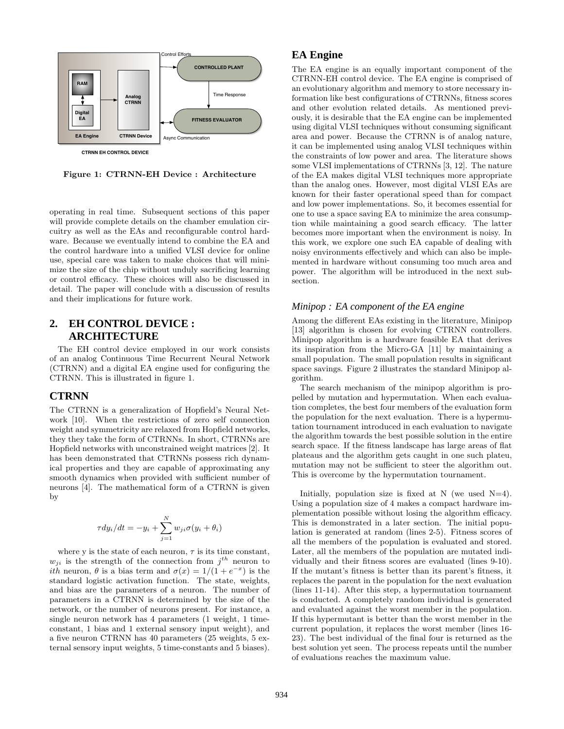

Figure 1: CTRNN-EH Device : Architecture

operating in real time. Subsequent sections of this paper will provide complete details on the chamber emulation circuitry as well as the EAs and reconfigurable control hardware. Because we eventually intend to combine the EA and the control hardware into a unified VLSI device for online use, special care was taken to make choices that will minimize the size of the chip without unduly sacrificing learning or control efficacy. These choices will also be discussed in detail. The paper will conclude with a discussion of results and their implications for future work.

# **2. EH CONTROL DEVICE : ARCHITECTURE**

The EH control device employed in our work consists of an analog Continuous Time Recurrent Neural Network (CTRNN) and a digital EA engine used for configuring the CTRNN. This is illustrated in figure 1.

# **CTRNN**

The CTRNN is a generalization of Hopfield's Neural Network [10]. When the restrictions of zero self connection weight and symmetricity are relaxed from Hopfield networks, they they take the form of CTRNNs. In short, CTRNNs are Hopfield networks with unconstrained weight matrices [2]. It has been demonstrated that CTRNNs possess rich dynamical properties and they are capable of approximating any smooth dynamics when provided with sufficient number of neurons [4]. The mathematical form of a CTRNN is given by

$$
\tau dy_i/dt = -y_i + \sum_{j=1}^{N} w_{ji}\sigma(y_i + \theta_i)
$$

where y is the state of each neuron,  $\tau$  is its time constant,  $w_{ji}$  is the strength of the connection from  $j^{th}$  neuron to *ith* neuron,  $\theta$  is a bias term and  $\sigma(x) = 1/(1 + e^{-x})$  is the standard logistic activation function. The state, weights, and bias are the parameters of a neuron. The number of parameters in a CTRNN is determined by the size of the network, or the number of neurons present. For instance, a single neuron network has 4 parameters (1 weight, 1 timeconstant, 1 bias and 1 external sensory input weight), and a five neuron CTRNN has 40 parameters (25 weights, 5 external sensory input weights, 5 time-constants and 5 biases).

# **EA Engine**

The EA engine is an equally important component of the CTRNN-EH control device. The EA engine is comprised of an evolutionary algorithm and memory to store necessary information like best configurations of CTRNNs, fitness scores and other evolution related details. As mentioned previously, it is desirable that the EA engine can be implemented using digital VLSI techniques without consuming significant area and power. Because the CTRNN is of analog nature, it can be implemented using analog VLSI techniques within the constraints of low power and area. The literature shows some VLSI implementations of CTRNNs [3, 12]. The nature of the EA makes digital VLSI techniques more appropriate than the analog ones. However, most digital VLSI EAs are known for their faster operational speed than for compact and low power implementations. So, it becomes essential for one to use a space saving EA to minimize the area consumption while maintaining a good search efficacy. The latter becomes more important when the environment is noisy. In this work, we explore one such EA capable of dealing with noisy environments effectively and which can also be implemented in hardware without consuming too much area and power. The algorithm will be introduced in the next subsection.

### *Minipop : EA component of the EA engine*

Among the different EAs existing in the literature, Minipop [13] algorithm is chosen for evolving CTRNN controllers. Minipop algorithm is a hardware feasible EA that derives its inspiration from the Micro-GA [11] by maintaining a small population. The small population results in significant space savings. Figure 2 illustrates the standard Minipop algorithm.

The search mechanism of the minipop algorithm is propelled by mutation and hypermutation. When each evaluation completes, the best four members of the evaluation form the population for the next evaluation. There is a hypermutation tournament introduced in each evaluation to navigate the algorithm towards the best possible solution in the entire search space. If the fitness landscape has large areas of flat plateaus and the algorithm gets caught in one such plateu, mutation may not be sufficient to steer the algorithm out. This is overcome by the hypermutation tournament.

Initially, population size is fixed at N (we used  $N=4$ ). Using a population size of 4 makes a compact hardware implementation possible without losing the algorithm efficacy. This is demonstrated in a later section. The initial population is generated at random (lines 2-5). Fitness scores of all the members of the population is evaluated and stored. Later, all the members of the population are mutated individually and their fitness scores are evaluated (lines 9-10). If the mutant's fitness is better than its parent's fitness, it replaces the parent in the population for the next evaluation (lines 11-14). After this step, a hypermutation tournament is conducted. A completely random individual is generated and evaluated against the worst member in the population. If this hypermutant is better than the worst member in the current population, it replaces the worst member (lines 16- 23). The best individual of the final four is returned as the best solution yet seen. The process repeats until the number of evaluations reaches the maximum value.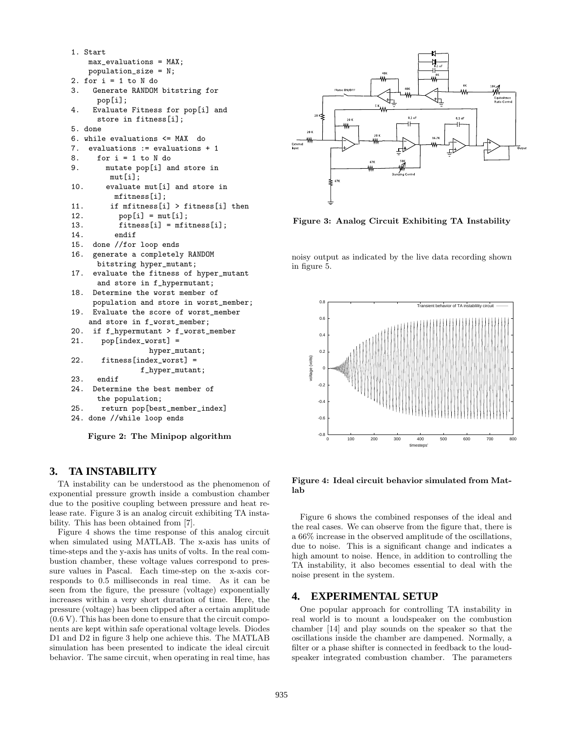```
1. Start
   max_evaluations = MAX;
   population_size = N;
2. for i = 1 to N do
3. Generate RANDOM bitstring for
     pop[i];
4. Evaluate Fitness for pop[i] and
     store in fitness[i];
5. done
6. while evaluations <= MAX do
7. evaluations := evaluations + 1
8. for i = 1 to N do
9. mutate pop[i] and store in
        mut[i];
10. evaluate mut[i] and store in
         mfitness[i];
11. if mfitness[i] > fitness[i] then
12. pop[i] = mut[i];13. fitness[i] = mfitness[i];
14. endif
15. done //for loop ends
16. generate a completely RANDOM
     bitstring hyper_mutant;
17. evaluate the fitness of hyper_mutant
     and store in f_hypermutant;
18. Determine the worst member of
    population and store in worst_member;
19. Evaluate the score of worst_member
   and store in f_worst_member;
20. if f_hypermutant > f_worst_member
21. pop[index_worst] =
                 hyper_mutant;
22. fitness[index_worst] =
               f_hyper_mutant;
23. endif
24. Determine the best member of
     the population;
25. return pop[best_member_index]
```

```
24. done //while loop ends
```
Figure 2: The Minipop algorithm

# **3. TA INSTABILITY**

TA instability can be understood as the phenomenon of exponential pressure growth inside a combustion chamber due to the positive coupling between pressure and heat release rate. Figure 3 is an analog circuit exhibiting TA instability. This has been obtained from [7].

Figure 4 shows the time response of this analog circuit when simulated using MATLAB. The x-axis has units of time-steps and the y-axis has units of volts. In the real combustion chamber, these voltage values correspond to pressure values in Pascal. Each time-step on the x-axis corresponds to 0.5 milliseconds in real time. As it can be seen from the figure, the pressure (voltage) exponentially increases within a very short duration of time. Here, the pressure (voltage) has been clipped after a certain amplitude (0.6 V). This has been done to ensure that the circuit components are kept within safe operational voltage levels. Diodes D1 and D2 in figure 3 help one achieve this. The MATLAB simulation has been presented to indicate the ideal circuit behavior. The same circuit, when operating in real time, has



Figure 3: Analog Circuit Exhibiting TA Instability

noisy output as indicated by the live data recording shown in figure 5.



Figure 4: Ideal circuit behavior simulated from Matlab

Figure 6 shows the combined responses of the ideal and the real cases. We can observe from the figure that, there is a 66% increase in the observed amplitude of the oscillations, due to noise. This is a significant change and indicates a high amount to noise. Hence, in addition to controlling the TA instability, it also becomes essential to deal with the noise present in the system.

### **4. EXPERIMENTAL SETUP**

One popular approach for controlling TA instability in real world is to mount a loudspeaker on the combustion chamber [14] and play sounds on the speaker so that the oscillations inside the chamber are dampened. Normally, a filter or a phase shifter is connected in feedback to the loudspeaker integrated combustion chamber. The parameters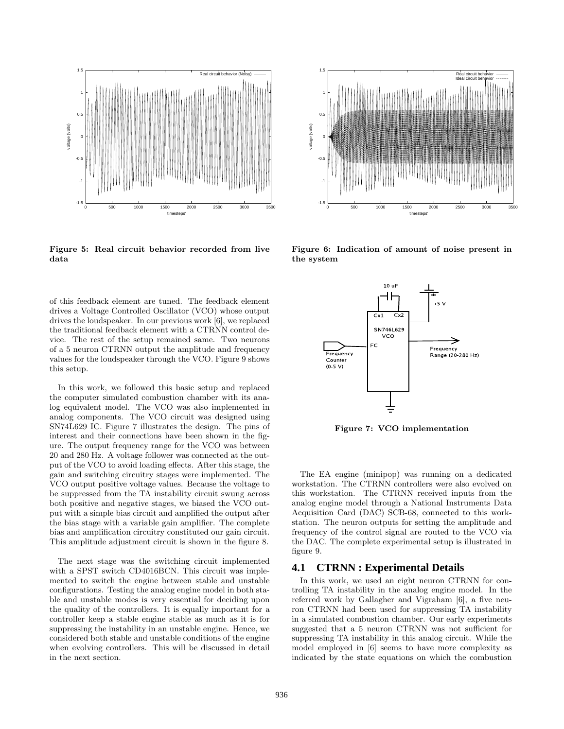

Figure 5: Real circuit behavior recorded from live data

of this feedback element are tuned. The feedback element drives a Voltage Controlled Oscillator (VCO) whose output drives the loudspeaker. In our previous work [6], we replaced the traditional feedback element with a CTRNN control device. The rest of the setup remained same. Two neurons of a 5 neuron CTRNN output the amplitude and frequency values for the loudspeaker through the VCO. Figure 9 shows this setup.

In this work, we followed this basic setup and replaced the computer simulated combustion chamber with its analog equivalent model. The VCO was also implemented in analog components. The VCO circuit was designed using SN74L629 IC. Figure 7 illustrates the design. The pins of interest and their connections have been shown in the figure. The output frequency range for the VCO was between 20 and 280 Hz. A voltage follower was connected at the output of the VCO to avoid loading effects. After this stage, the gain and switching circuitry stages were implemented. The VCO output positive voltage values. Because the voltage to be suppressed from the TA instability circuit swung across both positive and negative stages, we biased the VCO output with a simple bias circuit and amplified the output after the bias stage with a variable gain amplifier. The complete bias and amplification circuitry constituted our gain circuit. This amplitude adjustment circuit is shown in the figure 8.

The next stage was the switching circuit implemented with a SPST switch CD4016BCN. This circuit was implemented to switch the engine between stable and unstable configurations. Testing the analog engine model in both stable and unstable modes is very essential for deciding upon the quality of the controllers. It is equally important for a controller keep a stable engine stable as much as it is for suppressing the instability in an unstable engine. Hence, we considered both stable and unstable conditions of the engine when evolving controllers. This will be discussed in detail in the next section.



Figure 6: Indication of amount of noise present in the system



Figure 7: VCO implementation

The EA engine (minipop) was running on a dedicated workstation. The CTRNN controllers were also evolved on this workstation. The CTRNN received inputs from the analog engine model through a National Instruments Data Acquisition Card (DAC) SCB-68, connected to this workstation. The neuron outputs for setting the amplitude and frequency of the control signal are routed to the VCO via the DAC. The complete experimental setup is illustrated in figure 9.

### **4.1 CTRNN : Experimental Details**

In this work, we used an eight neuron CTRNN for controlling TA instability in the analog engine model. In the referred work by Gallagher and Vigraham [6], a five neuron CTRNN had been used for suppressing TA instability in a simulated combustion chamber. Our early experiments suggested that a 5 neuron CTRNN was not sufficient for suppressing TA instability in this analog circuit. While the model employed in [6] seems to have more complexity as indicated by the state equations on which the combustion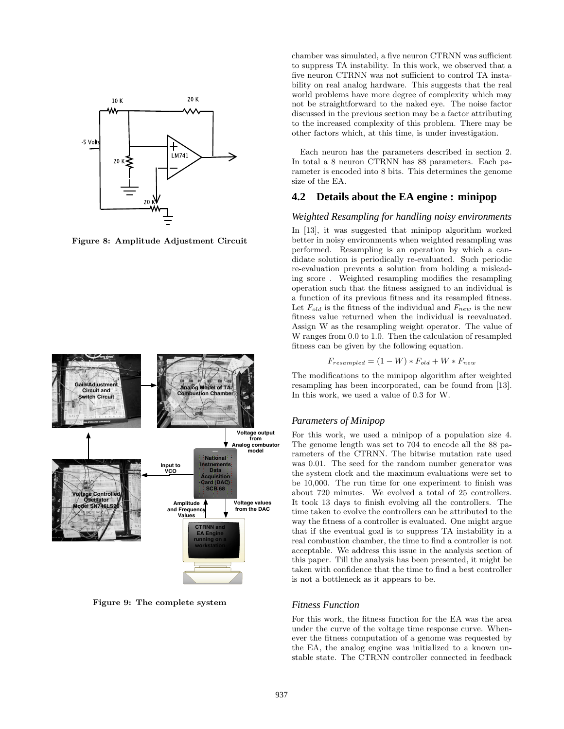

Figure 8: Amplitude Adjustment Circuit



Figure 9: The complete system

chamber was simulated, a five neuron CTRNN was sufficient to suppress TA instability. In this work, we observed that a five neuron CTRNN was not sufficient to control TA instability on real analog hardware. This suggests that the real world problems have more degree of complexity which may not be straightforward to the naked eye. The noise factor discussed in the previous section may be a factor attributing to the increased complexity of this problem. There may be other factors which, at this time, is under investigation.

Each neuron has the parameters described in section 2. In total a 8 neuron CTRNN has 88 parameters. Each parameter is encoded into 8 bits. This determines the genome size of the EA.

# **4.2 Details about the EA engine : minipop**

#### *Weighted Resampling for handling noisy environments*

In [13], it was suggested that minipop algorithm worked better in noisy environments when weighted resampling was performed. Resampling is an operation by which a candidate solution is periodically re-evaluated. Such periodic re-evaluation prevents a solution from holding a misleading score . Weighted resampling modifies the resampling operation such that the fitness assigned to an individual is a function of its previous fitness and its resampled fitness. Let  $F_{old}$  is the fitness of the individual and  $F_{new}$  is the new fitness value returned when the individual is reevaluated. Assign W as the resampling weight operator. The value of W ranges from 0.0 to 1.0. Then the calculation of resampled fitness can be given by the following equation.

$$
F_{resampled} = (1 - W) * F_{old} + W * F_{new}
$$

The modifications to the minipop algorithm after weighted resampling has been incorporated, can be found from [13]. In this work, we used a value of 0.3 for W.

#### *Parameters of Minipop*

For this work, we used a minipop of a population size 4. The genome length was set to 704 to encode all the 88 parameters of the CTRNN. The bitwise mutation rate used was 0.01. The seed for the random number generator was the system clock and the maximum evaluations were set to be 10,000. The run time for one experiment to finish was about 720 minutes. We evolved a total of 25 controllers. It took 13 days to finish evolving all the controllers. The time taken to evolve the controllers can be attributed to the way the fitness of a controller is evaluated. One might argue that if the eventual goal is to suppress TA instability in a real combustion chamber, the time to find a controller is not acceptable. We address this issue in the analysis section of this paper. Till the analysis has been presented, it might be taken with confidence that the time to find a best controller is not a bottleneck as it appears to be.

#### *Fitness Function*

For this work, the fitness function for the EA was the area under the curve of the voltage time response curve. Whenever the fitness computation of a genome was requested by the EA, the analog engine was initialized to a known unstable state. The CTRNN controller connected in feedback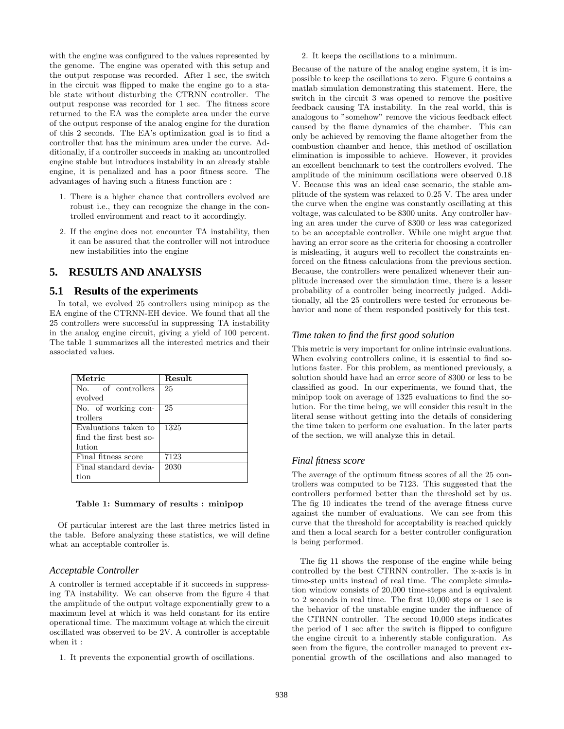with the engine was configured to the values represented by the genome. The engine was operated with this setup and the output response was recorded. After 1 sec, the switch in the circuit was flipped to make the engine go to a stable state without disturbing the CTRNN controller. The output response was recorded for 1 sec. The fitness score returned to the EA was the complete area under the curve of the output response of the analog engine for the duration of this 2 seconds. The EA's optimization goal is to find a controller that has the minimum area under the curve. Additionally, if a controller succeeds in making an uncontrolled engine stable but introduces instability in an already stable engine, it is penalized and has a poor fitness score. The advantages of having such a fitness function are :

- 1. There is a higher chance that controllers evolved are robust i.e., they can recognize the change in the controlled environment and react to it accordingly.
- 2. If the engine does not encounter TA instability, then it can be assured that the controller will not introduce new instabilities into the engine

# **5. RESULTS AND ANALYSIS**

### **5.1 Results of the experiments**

In total, we evolved 25 controllers using minipop as the EA engine of the CTRNN-EH device. We found that all the 25 controllers were successful in suppressing TA instability in the analog engine circuit, giving a yield of 100 percent. The table 1 summarizes all the interested metrics and their associated values.

| Metric                  | <b>Result</b> |
|-------------------------|---------------|
| No. of controllers      | 25            |
| evolved                 |               |
| No. of working con-     | 25            |
| trollers                |               |
| Evaluations taken to    | 1325          |
| find the first best so- |               |
| lution                  |               |
| Final fitness score     | 7123          |
| Final standard devia-   | 2030          |
| tion                    |               |
|                         |               |

#### Table 1: Summary of results : minipop

Of particular interest are the last three metrics listed in the table. Before analyzing these statistics, we will define what an acceptable controller is.

### *Acceptable Controller*

A controller is termed acceptable if it succeeds in suppressing TA instability. We can observe from the figure 4 that the amplitude of the output voltage exponentially grew to a maximum level at which it was held constant for its entire operational time. The maximum voltage at which the circuit oscillated was observed to be 2V. A controller is acceptable when it :

1. It prevents the exponential growth of oscillations.

2. It keeps the oscillations to a minimum.

Because of the nature of the analog engine system, it is impossible to keep the oscillations to zero. Figure 6 contains a matlab simulation demonstrating this statement. Here, the switch in the circuit 3 was opened to remove the positive feedback causing TA instability. In the real world, this is analogous to "somehow" remove the vicious feedback effect caused by the flame dynamics of the chamber. This can only be achieved by removing the flame altogether from the combustion chamber and hence, this method of oscillation elimination is impossible to achieve. However, it provides an excellent benchmark to test the controllers evolved. The amplitude of the minimum oscillations were observed 0.18 V. Because this was an ideal case scenario, the stable amplitude of the system was relaxed to 0.25 V. The area under the curve when the engine was constantly oscillating at this voltage, was calculated to be 8300 units. Any controller having an area under the curve of 8300 or less was categorized to be an acceptable controller. While one might argue that having an error score as the criteria for choosing a controller is misleading, it augurs well to recollect the constraints enforced on the fitness calculations from the previous section. Because, the controllers were penalized whenever their amplitude increased over the simulation time, there is a lesser probability of a controller being incorrectly judged. Additionally, all the 25 controllers were tested for erroneous behavior and none of them responded positively for this test.

### *Time taken to find the first good solution*

This metric is very important for online intrinsic evaluations. When evolving controllers online, it is essential to find solutions faster. For this problem, as mentioned previously, a solution should have had an error score of 8300 or less to be classified as good. In our experiments, we found that, the minipop took on average of 1325 evaluations to find the solution. For the time being, we will consider this result in the literal sense without getting into the details of considering the time taken to perform one evaluation. In the later parts of the section, we will analyze this in detail.

#### *Final fitness score*

The average of the optimum fitness scores of all the 25 controllers was computed to be 7123. This suggested that the controllers performed better than the threshold set by us. The fig 10 indicates the trend of the average fitness curve against the number of evaluations. We can see from this curve that the threshold for acceptability is reached quickly and then a local search for a better controller configuration is being performed.

The fig 11 shows the response of the engine while being controlled by the best CTRNN controller. The x-axis is in time-step units instead of real time. The complete simulation window consists of 20,000 time-steps and is equivalent to 2 seconds in real time. The first 10,000 steps or 1 sec is the behavior of the unstable engine under the influence of the CTRNN controller. The second 10,000 steps indicates the period of 1 sec after the switch is flipped to configure the engine circuit to a inherently stable configuration. As seen from the figure, the controller managed to prevent exponential growth of the oscillations and also managed to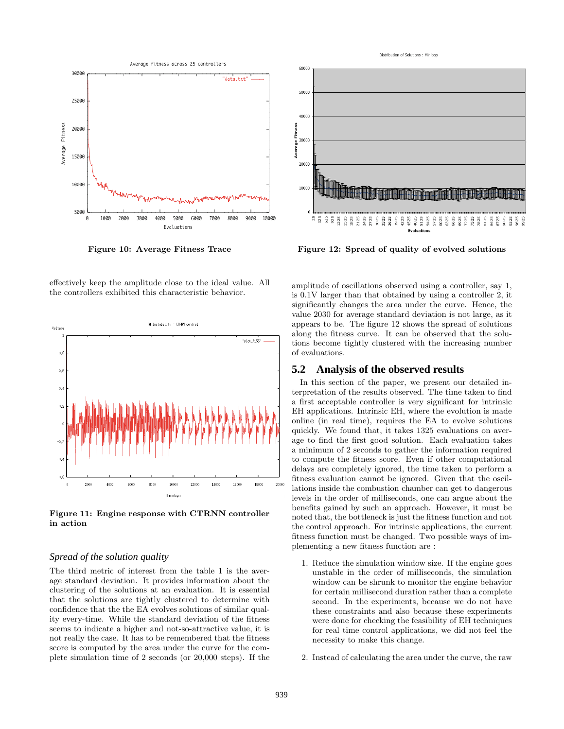

Figure 10: Average Fitness Trace

effectively keep the amplitude close to the ideal value. All the controllers exhibited this characteristic behavior.



Figure 11: Engine response with CTRNN controller in action

### *Spread of the solution quality*

The third metric of interest from the table 1 is the average standard deviation. It provides information about the clustering of the solutions at an evaluation. It is essential that the solutions are tightly clustered to determine with confidence that the the EA evolves solutions of similar quality every-time. While the standard deviation of the fitness seems to indicate a higher and not-so-attractive value, it is not really the case. It has to be remembered that the fitness score is computed by the area under the curve for the complete simulation time of 2 seconds (or 20,000 steps). If the



Figure 12: Spread of quality of evolved solutions

amplitude of oscillations observed using a controller, say 1, is 0.1V larger than that obtained by using a controller 2, it significantly changes the area under the curve. Hence, the value 2030 for average standard deviation is not large, as it appears to be. The figure 12 shows the spread of solutions along the fitness curve. It can be observed that the solutions become tightly clustered with the increasing number of evaluations.

### **5.2 Analysis of the observed results**

In this section of the paper, we present our detailed interpretation of the results observed. The time taken to find a first acceptable controller is very significant for intrinsic EH applications. Intrinsic EH, where the evolution is made online (in real time), requires the EA to evolve solutions quickly. We found that, it takes 1325 evaluations on average to find the first good solution. Each evaluation takes a minimum of 2 seconds to gather the information required to compute the fitness score. Even if other computational delays are completely ignored, the time taken to perform a fitness evaluation cannot be ignored. Given that the oscillations inside the combustion chamber can get to dangerous levels in the order of milliseconds, one can argue about the benefits gained by such an approach. However, it must be noted that, the bottleneck is just the fitness function and not the control approach. For intrinsic applications, the current fitness function must be changed. Two possible ways of implementing a new fitness function are :

- 1. Reduce the simulation window size. If the engine goes unstable in the order of milliseconds, the simulation window can be shrunk to monitor the engine behavior for certain millisecond duration rather than a complete second. In the experiments, because we do not have these constraints and also because these experiments were done for checking the feasibility of EH techniques for real time control applications, we did not feel the necessity to make this change.
- 2. Instead of calculating the area under the curve, the raw